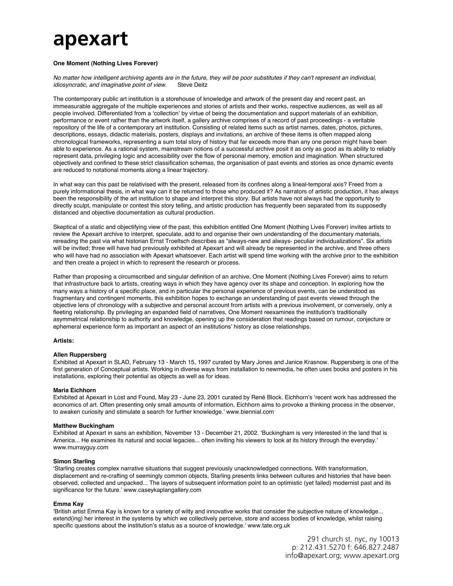# **apexart**

## **One Moment (Nothing Lives Forever)**

*No matter how intelligent archiving agents are in the future, they will be poor substitutes if they can't represent an individual, idiosyncratic, and imaginative point of view.* Steve Deitz

The contemporary public art institution is a storehouse of knowledge and artwork of the present day and recent past, an immeasurable aggregate of the multiple experiences and stories of artists and their works, respective audiences, as well as all people involved. Differentiated from a ʻcollection' by virtue of being the documentation and support materials of an exhibition, performance or event rather than the artwork itself, a gallery archive comprises of a record of past proceedings - a veritable repository of the life of a contemporary art institution. Consisting of related items such as artist names, dates, photos, pictures, descriptions, essays, didactic materials, posters, displays and invitations, an archive of these items is often mapped along chronological frameworks, representing a sum total story of history that far exceeds more than any one person might have been able to experience. As a rational system, mainstream notions of a successful archive posit it as only as good as its ability to reliably represent data, privileging logic and accessibility over the flow of personal memory, emotion and imagination. When structured objectively and confined to these strict classification schemas, the organisation of past events and stories as once dynamic events are reduced to notational moments along a linear trajectory.

In what way can this past be relativised with the present, released from its confines along a lineal-temporal axis? Freed from a purely informational thesis, in what way can it be returned to those who produced it? As narrators of artistic production, it has always been the responsibility of the art institution to shape and interpret this story. But artists have not always had the opportunity to directly sculpt, manipulate or contest this story telling, and artistic production has frequently been separated from its supposedly distanced and objective documentation as cultural production.

Skeptical of a static and objectifying view of the past, this exhibition entitled One Moment (Nothing Lives Forever) invites artists to review the Apexart archive to interpret, speculate, add to and organise their own understanding of the documentary materials, rereading the past via what historian Ernst Troeltsch describes as "always-new and always- peculiar individualizations". Six artists will be invited; three will have had previously exhibited at Apexart and will already be represented in the archive, and three others who will have had no association with Apexart whatsoever. Each artist will spend time working with the archive prior to the exhibition and then create a project in which to represent the research or process.

Rather than proposing a circumscribed and singular definition of an archive, One Moment (Nothing Lives Forever) aims to return that infrastructure back to artists, creating ways in which they have agency over its shape and conception. In exploring how the many ways a history of a specific place, and in particular the personal experience of previous events, can be understood as fragmentary and contingent moments, this exhibition hopes to exchange an understanding of past events viewed through the objective lens of chronology with a subjective and personal account from artists with a previous involvement, or conversely, only a fleeting relationship. By privileging an expanded field of narratives, One Moment reexamines the institution's traditionally asymmetrical relationship to authority and knowledge, opening up the consideration that readings based on rumour, conjecture or ephemeral experience form as important an aspect of an institutions' history as close relationships.

## **Artists:**

## **Allen Ruppersberg**

Exhibited at Apexart in SLAD, February 13 - March 15, 1997 curated by Mary Jones and Janice Krasnow. Ruppersberg is one of the first generation of Conceptual artists. Working in diverse ways from installation to newmedia, he often uses books and posters in his installations, exploring their potential as objects as well as for ideas.

#### **Maria Eichhorn**

Exhibited at Apexart in Lost and Found, May 23 - June 23, 2001 curated by René Block. Eichhorn's ʻrecent work has addressed the economics of art. Often presenting only small amounts of information, Eichhorn aims to provoke a thinking process in the observer, to awaken curiosity and stimulate a search for further knowledge.' www.biennial.com

#### **Matthew Buckingham**

Exhibited at Apexart in sans an exhibition, November 13 - December 21, 2002. ʻBuckingham is very interested in the land that is America... He examines its natural and social legacies... often inviting his viewers to look at its history through the everyday.' www.murrayguy.com

#### **Simon Starling**

ʻStarling creates complex narrative situations that suggest previously unacknowledged connections. With transformation, displacement and re-crafting of seemingly common objects, Starling presents links between cultures and histories that have been observed, collected and unpacked... The layers of subsequent information point to an optimistic (yet failed) modernist past and its significance for the future.' www.caseykaplangallery.com

#### **Emma Kay**

ʻBritish artist Emma Kay is known for a variety of witty and innovative works that consider the subjective nature of knowledge... extend(ing) her interest in the systems by which we collectively perceive, store and access bodies of knowledge, whilst raising specific questions about the institution's status as a source of knowledge.' www.tate.org.uk

> 291 church st. nyc, ny 10013 p: 212.431.5270 f: 646.827.2487 info@apexart.org; www.apexart.org